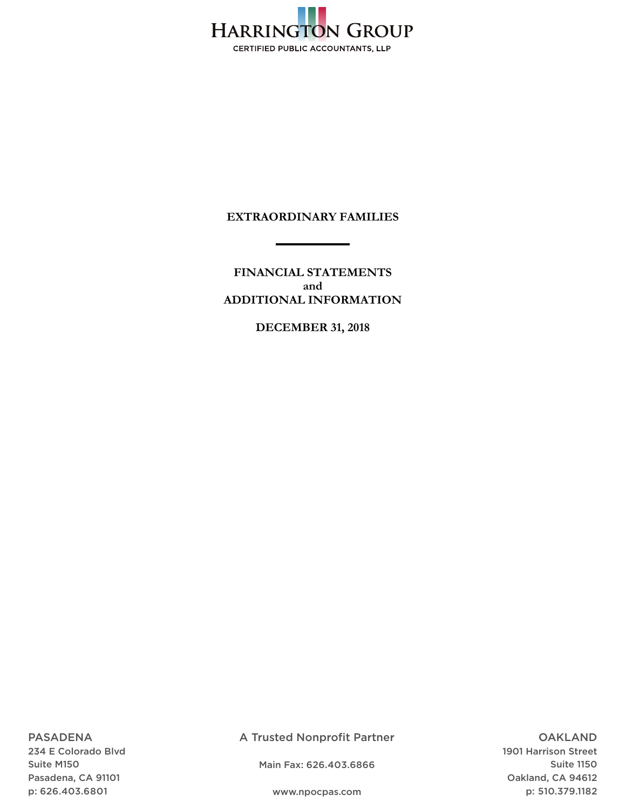

**FINANCIAL STATEMENTS and ADDITIONAL INFORMATION** 

**DECEMBER 31, 2018** 

PASADENA 234 E Colorado Blvd Suite M150 Pasadena, CA 91101 p: 626.403.6801

A Trusted Nonprofit Partner

Main Fax: 626.403.6866

OAKLAND 1901 Harrison Street Suite 1150 Oakland, CA 94612 p: 510.379.1182

www.npocpas.com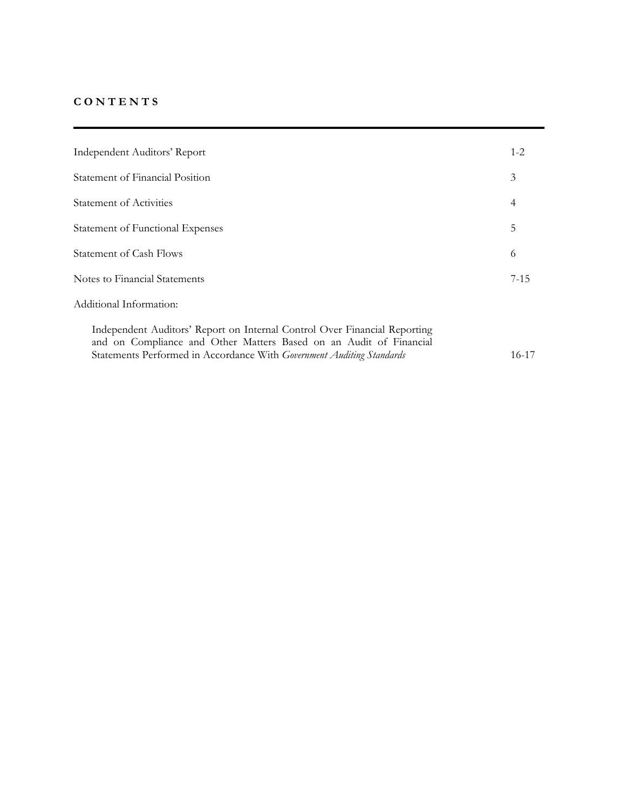# **C O N T E N T S**

| Independent Auditors' Report                                                                                                                    | $1 - 2$  |
|-------------------------------------------------------------------------------------------------------------------------------------------------|----------|
| Statement of Financial Position                                                                                                                 | 3        |
| <b>Statement of Activities</b>                                                                                                                  | 4        |
| <b>Statement of Functional Expenses</b>                                                                                                         | 5        |
| <b>Statement of Cash Flows</b>                                                                                                                  | 6        |
| Notes to Financial Statements                                                                                                                   | $7 - 15$ |
| Additional Information:                                                                                                                         |          |
| Independent Auditors' Report on Internal Control Over Financial Reporting<br>and on Compliance and Other Matters Based on an Audit of Financial |          |

Statements Performed in Accordance With *Government Auditing Standards* 16-17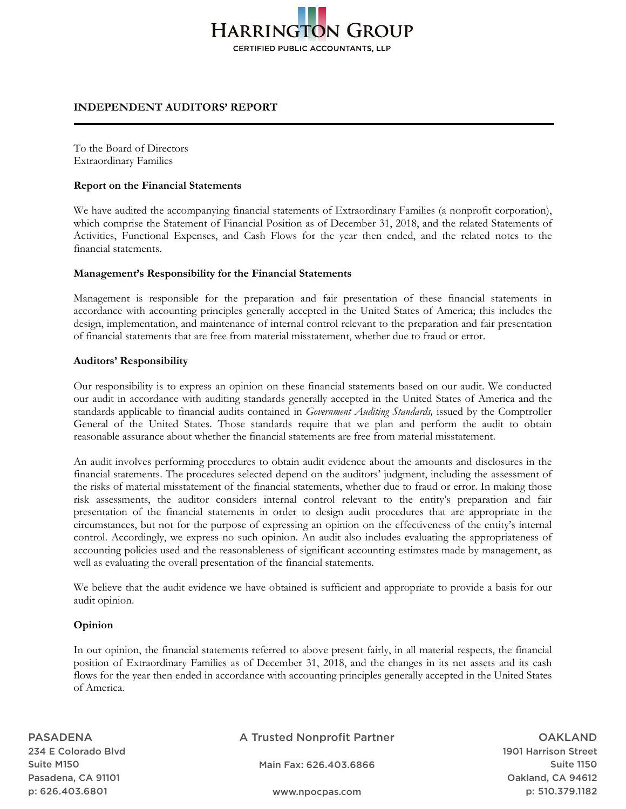# **HARRINGTON GROUP** CERTIFIED PUBLIC ACCOUNTANTS, LLP

# **INDEPENDENT AUDITORS' REPORT**

To the Board of Directors Extraordinary Families

#### **Report on the Financial Statements**

We have audited the accompanying financial statements of Extraordinary Families (a nonprofit corporation), which comprise the Statement of Financial Position as of December 31, 2018, and the related Statements of Activities, Functional Expenses, and Cash Flows for the year then ended, and the related notes to the financial statements.

## **Management's Responsibility for the Financial Statements**

Management is responsible for the preparation and fair presentation of these financial statements in accordance with accounting principles generally accepted in the United States of America; this includes the design, implementation, and maintenance of internal control relevant to the preparation and fair presentation of financial statements that are free from material misstatement, whether due to fraud or error.

## **Auditors' Responsibility**

Our responsibility is to express an opinion on these financial statements based on our audit. We conducted our audit in accordance with auditing standards generally accepted in the United States of America and the standards applicable to financial audits contained in *Government Auditing Standards,* issued by the Comptroller General of the United States. Those standards require that we plan and perform the audit to obtain reasonable assurance about whether the financial statements are free from material misstatement.

An audit involves performing procedures to obtain audit evidence about the amounts and disclosures in the financial statements. The procedures selected depend on the auditors' judgment, including the assessment of the risks of material misstatement of the financial statements, whether due to fraud or error. In making those risk assessments, the auditor considers internal control relevant to the entity's preparation and fair presentation of the financial statements in order to design audit procedures that are appropriate in the circumstances, but not for the purpose of expressing an opinion on the effectiveness of the entity's internal control. Accordingly, we express no such opinion. An audit also includes evaluating the appropriateness of accounting policies used and the reasonableness of significant accounting estimates made by management, as well as evaluating the overall presentation of the financial statements.

We believe that the audit evidence we have obtained is sufficient and appropriate to provide a basis for our audit opinion.

#### **Opinion**

In our opinion, the financial statements referred to above present fairly, in all material respects, the financial position of Extraordinary Families as of December 31, 2018, and the changes in its net assets and its cash flows for the year then ended in accordance with accounting principles generally accepted in the United States of America.

PASADENA 234 E Colorado Blvd Suite M150 Pasadena, CA 91101 p: 626.403.6801

A Trusted Nonprofit Partner

Main Fax: 626.403.6866

**OAKLAND** 1901 Harrison Street Suite 1150 Oakland, CA 94612 p: 510.379.1182

www.npocpas.com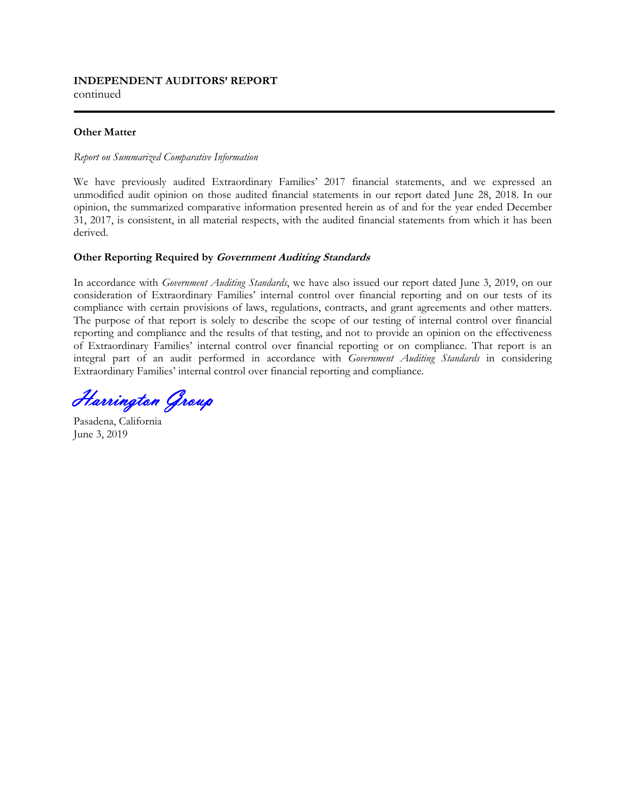# **INDEPENDENT AUDITORS' REPORT**

continued

## **Other Matter**

#### *Report on Summarized Comparative Information*

We have previously audited Extraordinary Families' 2017 financial statements, and we expressed an unmodified audit opinion on those audited financial statements in our report dated June 28, 2018. In our opinion, the summarized comparative information presented herein as of and for the year ended December 31, 2017, is consistent, in all material respects, with the audited financial statements from which it has been derived.

# **Other Reporting Required by Government Auditing Standards**

In accordance with *Government Auditing Standards*, we have also issued our report dated June 3, 2019, on our consideration of Extraordinary Families' internal control over financial reporting and on our tests of its compliance with certain provisions of laws, regulations, contracts, and grant agreements and other matters. The purpose of that report is solely to describe the scope of our testing of internal control over financial reporting and compliance and the results of that testing, and not to provide an opinion on the effectiveness of Extraordinary Families' internal control over financial reporting or on compliance. That report is an integral part of an audit performed in accordance with *Government Auditing Standards* in considering Extraordinary Families' internal control over financial reporting and compliance.

Harrington Group

Pasadena, California June 3, 2019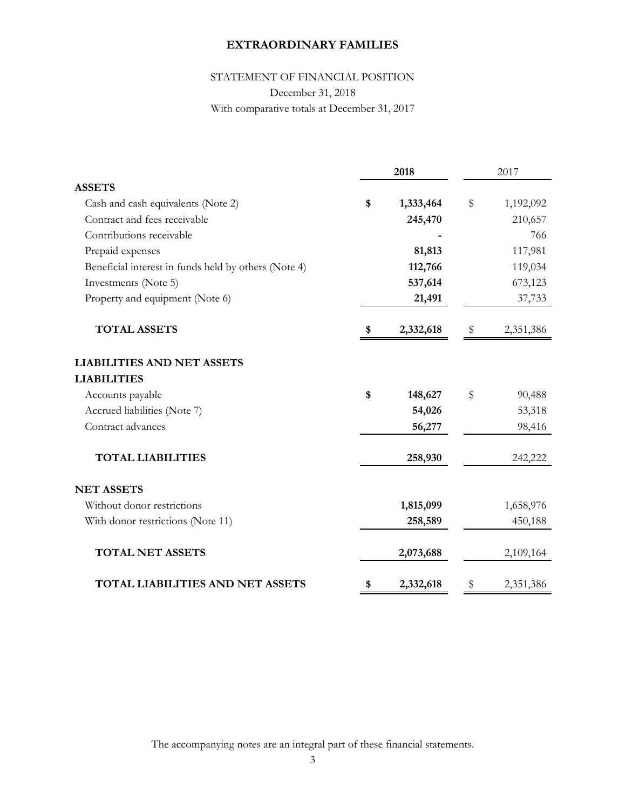# STATEMENT OF FINANCIAL POSITION

December 31, 2018

With comparative totals at December 31, 2017

|                                                      | 2018            | 2017 |           |  |  |  |
|------------------------------------------------------|-----------------|------|-----------|--|--|--|
| <b>ASSETS</b>                                        |                 |      |           |  |  |  |
| Cash and cash equivalents (Note 2)                   | \$<br>1,333,464 | \$   | 1,192,092 |  |  |  |
| Contract and fees receivable                         | 245,470         |      | 210,657   |  |  |  |
| Contributions receivable                             |                 |      | 766       |  |  |  |
| Prepaid expenses                                     | 81,813          |      | 117,981   |  |  |  |
| Beneficial interest in funds held by others (Note 4) | 112,766         |      | 119,034   |  |  |  |
| Investments (Note 5)                                 | 537,614         |      | 673,123   |  |  |  |
| Property and equipment (Note 6)                      | 21,491          |      | 37,733    |  |  |  |
| <b>TOTAL ASSETS</b>                                  | \$<br>2,332,618 | \$   | 2,351,386 |  |  |  |
| <b>LIABILITIES AND NET ASSETS</b>                    |                 |      |           |  |  |  |
| <b>LIABILITIES</b>                                   |                 |      |           |  |  |  |
| Accounts payable                                     | \$<br>148,627   | \$   | 90,488    |  |  |  |
| Accrued liabilities (Note 7)                         | 54,026          |      | 53,318    |  |  |  |
| Contract advances                                    | 56,277          |      | 98,416    |  |  |  |
| <b>TOTAL LIABILITIES</b>                             | 258,930         |      | 242,222   |  |  |  |
| <b>NET ASSETS</b>                                    |                 |      |           |  |  |  |
| Without donor restrictions                           | 1,815,099       |      | 1,658,976 |  |  |  |
| With donor restrictions (Note 11)                    | 258,589         |      | 450,188   |  |  |  |
| <b>TOTAL NET ASSETS</b>                              | 2,073,688       |      | 2,109,164 |  |  |  |
| <b>TOTAL LIABILITIES AND NET ASSETS</b>              | \$<br>2,332,618 | \$   | 2,351,386 |  |  |  |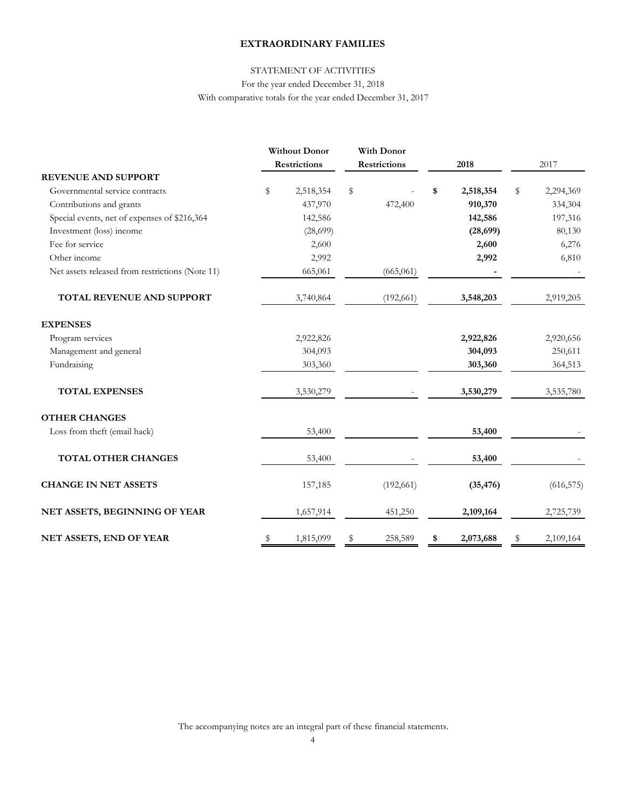# STATEMENT OF ACTIVITIES

For the year ended December 31, 2018 With comparative totals for the year ended December 31, 2017

|                                                 | <b>Without Donor</b><br><b>Restrictions</b> |           | <b>With Donor</b><br><b>Restrictions</b> |            |    | 2018      | 2017            |
|-------------------------------------------------|---------------------------------------------|-----------|------------------------------------------|------------|----|-----------|-----------------|
| <b>REVENUE AND SUPPORT</b>                      |                                             |           |                                          |            |    |           |                 |
| Governmental service contracts                  | \$                                          | 2,518,354 | \$                                       |            | \$ | 2,518,354 | \$<br>2,294,369 |
| Contributions and grants                        |                                             | 437,970   |                                          | 472,400    |    | 910,370   | 334,304         |
| Special events, net of expenses of \$216,364    |                                             | 142,586   |                                          |            |    | 142,586   | 197,316         |
| Investment (loss) income                        |                                             | (28,699)  |                                          |            |    | (28, 699) | 80,130          |
| Fee for service                                 |                                             | 2,600     |                                          |            |    | 2,600     | 6,276           |
| Other income                                    |                                             | 2,992     |                                          |            |    | 2,992     | 6,810           |
| Net assets released from restrictions (Note 11) |                                             | 665,061   |                                          | (665, 061) |    |           |                 |
| TOTAL REVENUE AND SUPPORT                       |                                             | 3,740,864 |                                          | (192, 661) |    | 3,548,203 | 2,919,205       |
| <b>EXPENSES</b>                                 |                                             |           |                                          |            |    |           |                 |
| Program services                                |                                             | 2,922,826 |                                          |            |    | 2,922,826 | 2,920,656       |
| Management and general                          |                                             | 304,093   |                                          |            |    | 304,093   | 250,611         |
| Fundraising                                     |                                             | 303,360   |                                          |            |    | 303,360   | 364,513         |
| <b>TOTAL EXPENSES</b>                           |                                             | 3,530,279 |                                          |            |    | 3,530,279 | 3,535,780       |
| <b>OTHER CHANGES</b>                            |                                             |           |                                          |            |    |           |                 |
| Loss from theft (email hack)                    |                                             | 53,400    |                                          |            |    | 53,400    |                 |
| <b>TOTAL OTHER CHANGES</b>                      |                                             | 53,400    |                                          |            |    | 53,400    |                 |
| <b>CHANGE IN NET ASSETS</b>                     |                                             | 157,185   |                                          | (192,661)  |    | (35, 476) | (616, 575)      |
| NET ASSETS, BEGINNING OF YEAR                   |                                             | 1,657,914 |                                          | 451,250    |    | 2,109,164 | 2,725,739       |
| NET ASSETS, END OF YEAR                         | \$                                          | 1,815,099 | \$                                       | 258,589    | \$ | 2,073,688 | \$<br>2,109,164 |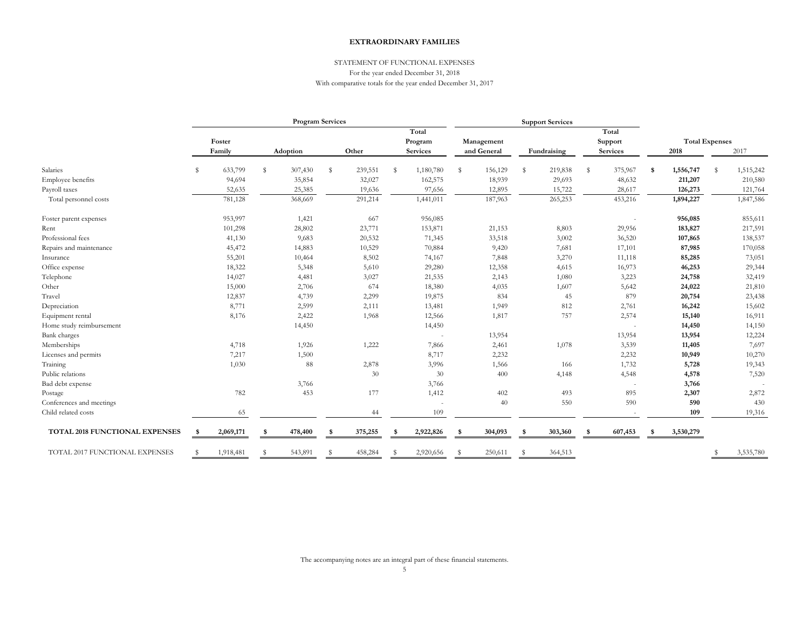#### STATEMENT OF FUNCTIONAL EXPENSES For the year ended December 31, 2018 With comparative totals for the year ended December 31, 2017

|                                |    |           |     | <b>Program Services</b> |    |         |   |           |    |             |     | <b>Support Services</b> |    |                 |                       |   |           |
|--------------------------------|----|-----------|-----|-------------------------|----|---------|---|-----------|----|-------------|-----|-------------------------|----|-----------------|-----------------------|---|-----------|
|                                |    |           |     |                         |    |         |   | Total     |    |             |     |                         |    | Total           |                       |   |           |
|                                |    | Foster    |     |                         |    |         |   | Program   |    | Management  |     |                         |    | Support         | <b>Total Expenses</b> |   |           |
|                                |    | Family    |     | Adoption                |    | Other   |   | Services  |    | and General |     | Fundraising             |    | <b>Services</b> | 2018                  |   | 2017      |
| Salaries                       | \$ | 633,799   | s   | 307,430                 | S  | 239,551 | s | 1,180,780 | S  | 156,129     | \$  | 219,838                 | -S | 375,967         | \$<br>1,556,747       | s | 1,515,242 |
| Employee benefits              |    | 94,694    |     | 35,854                  |    | 32,027  |   | 162,575   |    | 18,939      |     | 29,693                  |    | 48,632          | 211,207               |   | 210,580   |
| Payroll taxes                  |    | 52,635    |     | 25,385                  |    | 19,636  |   | 97,656    |    | 12,895      |     | 15,722                  |    | 28,617          | 126,273               |   | 121,764   |
| Total personnel costs          |    | 781,128   |     | 368,669                 |    | 291,214 |   | 1,441,011 |    | 187,963     |     | 265,253                 |    | 453,216         | 1,894,227             |   | 1,847,586 |
| Foster parent expenses         |    | 953,997   |     | 1,421                   |    | 667     |   | 956,085   |    |             |     |                         |    |                 | 956,085               |   | 855,611   |
| Rent                           |    | 101,298   |     | 28,802                  |    | 23,771  |   | 153,871   |    | 21,153      |     | 8,803                   |    | 29,956          | 183,827               |   | 217,591   |
| Professional fees              |    | 41,130    |     | 9,683                   |    | 20,532  |   | 71,345    |    | 33,518      |     | 3,002                   |    | 36,520          | 107,865               |   | 138,537   |
| Repairs and maintenance        |    | 45,472    |     | 14,883                  |    | 10,529  |   | 70,884    |    | 9,420       |     | 7,681                   |    | 17,101          | 87,985                |   | 170,058   |
| Insurance                      |    | 55,201    |     | 10,464                  |    | 8,502   |   | 74,167    |    | 7,848       |     | 3,270                   |    | 11,118          | 85,285                |   | 73,051    |
| Office expense                 |    | 18,322    |     | 5,348                   |    | 5,610   |   | 29,280    |    | 12,358      |     | 4,615                   |    | 16,973          | 46,253                |   | 29,344    |
| Telephone                      |    | 14,027    |     | 4,481                   |    | 3,027   |   | 21,535    |    | 2,143       |     | 1,080                   |    | 3,223           | 24,758                |   | 32,419    |
| Other                          |    | 15,000    |     | 2,706                   |    | 674     |   | 18,380    |    | 4,035       |     | 1,607                   |    | 5,642           | 24,022                |   | 21,810    |
| Travel                         |    | 12,837    |     | 4,739                   |    | 2,299   |   | 19,875    |    | 834         |     | 45                      |    | 879             | 20,754                |   | 23,438    |
| Depreciation                   |    | 8,771     |     | 2,599                   |    | 2,111   |   | 13,481    |    | 1,949       |     | 812                     |    | 2,761           | 16,242                |   | 15,602    |
| Equipment rental               |    | 8,176     |     | 2,422                   |    | 1,968   |   | 12,566    |    | 1,817       |     | 757                     |    | 2,574           | 15,140                |   | 16,911    |
| Home study reimbursement       |    |           |     | 14,450                  |    |         |   | 14,450    |    |             |     |                         |    |                 | 14,450                |   | 14,150    |
| <b>Bank</b> charges            |    |           |     |                         |    |         |   |           |    | 13,954      |     |                         |    | 13,954          | 13,954                |   | 12,224    |
| Memberships                    |    | 4,718     |     | 1,926                   |    | 1,222   |   | 7,866     |    | 2,461       |     | 1,078                   |    | 3,539           | 11,405                |   | 7,697     |
| Licenses and permits           |    | 7,217     |     | 1,500                   |    |         |   | 8,717     |    | 2,232       |     |                         |    | 2,232           | 10,949                |   | 10,270    |
| Training                       |    | 1,030     |     | 88                      |    | 2,878   |   | 3,996     |    | 1,566       |     | 166                     |    | 1,732           | 5,728                 |   | 19,343    |
| Public relations               |    |           |     |                         |    | 30      |   | 30        |    | 400         |     | 4,148                   |    | 4,548           | 4,578                 |   | 7,520     |
| Bad debt expense               |    |           |     | 3,766                   |    |         |   | 3,766     |    |             |     |                         |    |                 | 3,766                 |   |           |
| Postage                        |    | 782       |     | 453                     |    | 177     |   | 1,412     |    | 402         |     | 493                     |    | 895             | 2,307                 |   | 2,872     |
| Conferences and meetings       |    |           |     |                         |    |         |   |           |    | 40          |     | 550                     |    | 590             | 590                   |   | 430       |
| Child related costs            |    | 65        |     |                         |    | 44      |   | 109       |    |             |     |                         |    |                 | 109                   |   | 19,316    |
| TOTAL 2018 FUNCTIONAL EXPENSES | -S | 2,069,171 | \$. | 478,400                 | -S | 375,255 |   | 2,922,826 | -S | 304,093     | -\$ | 303,360                 | -S | 607,453         | \$<br>3,530,279       |   |           |
| TOTAL 2017 FUNCTIONAL EXPENSES |    | 1,918,481 |     | 543,891                 |    | 458,284 |   | 2,920,656 |    | 250,611     | S   | 364,513                 |    |                 |                       | S | 3,535,780 |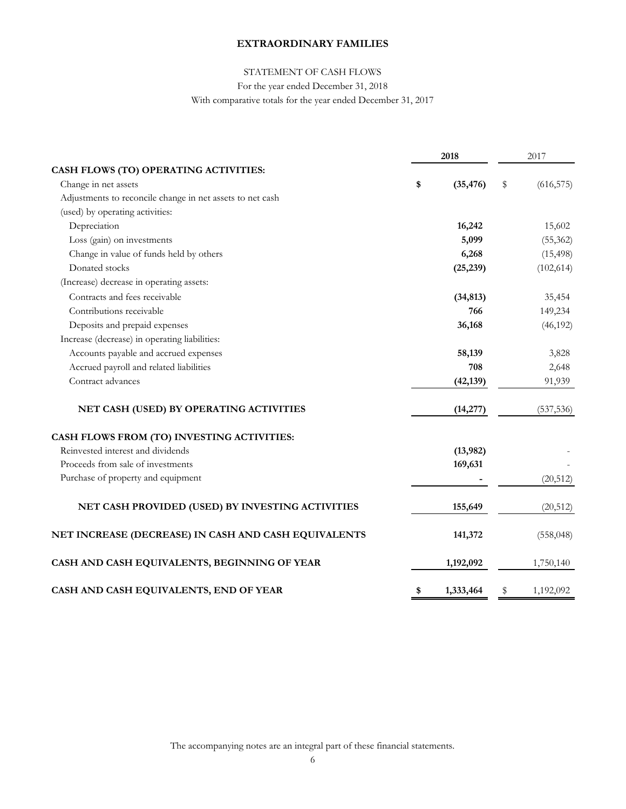# STATEMENT OF CASH FLOWS

# For the year ended December 31, 2018 With comparative totals for the year ended December 31, 2017

|                                                           | 2018 |           |    | 2017       |  |  |
|-----------------------------------------------------------|------|-----------|----|------------|--|--|
| CASH FLOWS (TO) OPERATING ACTIVITIES:                     |      |           |    |            |  |  |
| Change in net assets                                      | \$   | (35, 476) | \$ | (616, 575) |  |  |
| Adjustments to reconcile change in net assets to net cash |      |           |    |            |  |  |
| (used) by operating activities:                           |      |           |    |            |  |  |
| Depreciation                                              |      | 16,242    |    | 15,602     |  |  |
| Loss (gain) on investments                                |      | 5,099     |    | (55, 362)  |  |  |
| Change in value of funds held by others                   |      | 6,268     |    | (15, 498)  |  |  |
| Donated stocks                                            |      | (25, 239) |    | (102, 614) |  |  |
| (Increase) decrease in operating assets:                  |      |           |    |            |  |  |
| Contracts and fees receivable                             |      | (34, 813) |    | 35,454     |  |  |
| Contributions receivable                                  |      | 766       |    | 149,234    |  |  |
| Deposits and prepaid expenses                             |      | 36,168    |    | (46, 192)  |  |  |
| Increase (decrease) in operating liabilities:             |      |           |    |            |  |  |
| Accounts payable and accrued expenses                     |      | 58,139    |    | 3,828      |  |  |
| Accrued payroll and related liabilities                   |      | 708       |    | 2,648      |  |  |
| Contract advances                                         |      | (42, 139) |    | 91,939     |  |  |
| NET CASH (USED) BY OPERATING ACTIVITIES                   |      | (14, 277) |    | (537, 536) |  |  |
| CASH FLOWS FROM (TO) INVESTING ACTIVITIES:                |      |           |    |            |  |  |
| Reinvested interest and dividends                         |      | (13,982)  |    |            |  |  |
| Proceeds from sale of investments                         |      | 169,631   |    |            |  |  |
| Purchase of property and equipment                        |      |           |    | (20, 512)  |  |  |
| NET CASH PROVIDED (USED) BY INVESTING ACTIVITIES          |      | 155,649   |    | (20, 512)  |  |  |
| NET INCREASE (DECREASE) IN CASH AND CASH EQUIVALENTS      |      | 141,372   |    | (558, 048) |  |  |
| CASH AND CASH EQUIVALENTS, BEGINNING OF YEAR              |      | 1,192,092 |    | 1,750,140  |  |  |
| CASH AND CASH EQUIVALENTS, END OF YEAR                    | \$   | 1,333,464 | \$ | 1,192,092  |  |  |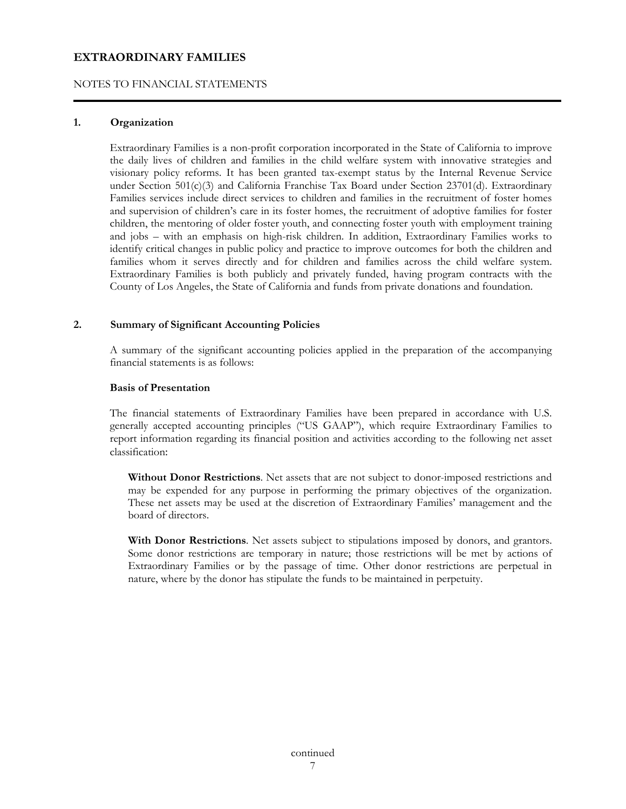# NOTES TO FINANCIAL STATEMENTS

## **1. Organization**

 Extraordinary Families is a non-profit corporation incorporated in the State of California to improve the daily lives of children and families in the child welfare system with innovative strategies and visionary policy reforms. It has been granted tax-exempt status by the Internal Revenue Service under Section 501(c)(3) and California Franchise Tax Board under Section 23701(d). Extraordinary Families services include direct services to children and families in the recruitment of foster homes and supervision of children's care in its foster homes, the recruitment of adoptive families for foster children, the mentoring of older foster youth, and connecting foster youth with employment training and jobs – with an emphasis on high-risk children. In addition, Extraordinary Families works to identify critical changes in public policy and practice to improve outcomes for both the children and families whom it serves directly and for children and families across the child welfare system. Extraordinary Families is both publicly and privately funded, having program contracts with the County of Los Angeles, the State of California and funds from private donations and foundation.

 $\mathcal{L}_\text{max}$  , we have the set of  $\mathcal{L}_\text{max}$ 

## **2. Summary of Significant Accounting Policies**

 A summary of the significant accounting policies applied in the preparation of the accompanying financial statements is as follows:

#### **Basis of Presentation**

 The financial statements of Extraordinary Families have been prepared in accordance with U.S. generally accepted accounting principles ("US GAAP"), which require Extraordinary Families to report information regarding its financial position and activities according to the following net asset classification:

**Without Donor Restrictions**. Net assets that are not subject to donor-imposed restrictions and may be expended for any purpose in performing the primary objectives of the organization. These net assets may be used at the discretion of Extraordinary Families' management and the board of directors.

**With Donor Restrictions**. Net assets subject to stipulations imposed by donors, and grantors. Some donor restrictions are temporary in nature; those restrictions will be met by actions of Extraordinary Families or by the passage of time. Other donor restrictions are perpetual in nature, where by the donor has stipulate the funds to be maintained in perpetuity.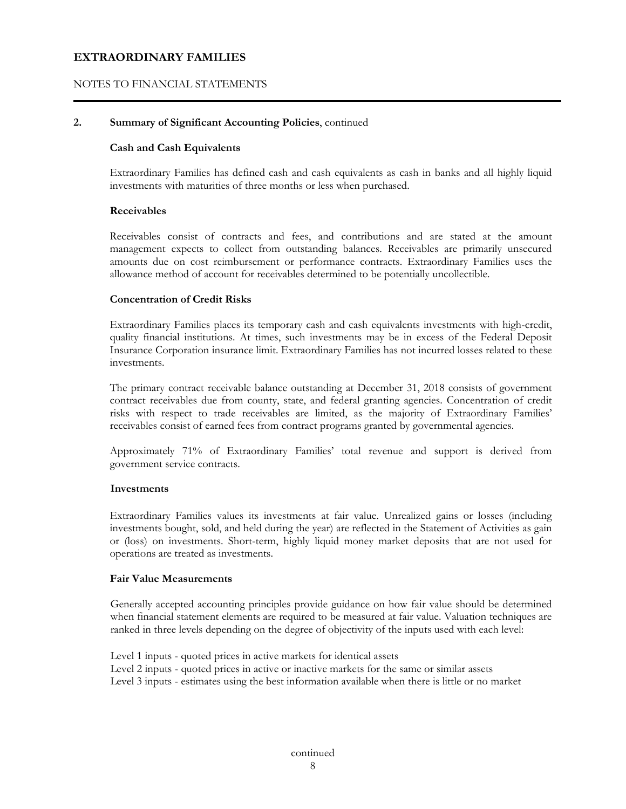# NOTES TO FINANCIAL STATEMENTS

#### **2. Summary of Significant Accounting Policies**, continued

#### **Cash and Cash Equivalents**

 Extraordinary Families has defined cash and cash equivalents as cash in banks and all highly liquid investments with maturities of three months or less when purchased.

 $\mathcal{L}_\text{max}$  , we have the set of  $\mathcal{L}_\text{max}$ 

#### **Receivables**

 Receivables consist of contracts and fees, and contributions and are stated at the amount management expects to collect from outstanding balances. Receivables are primarily unsecured amounts due on cost reimbursement or performance contracts. Extraordinary Families uses the allowance method of account for receivables determined to be potentially uncollectible.

#### **Concentration of Credit Risks**

 Extraordinary Families places its temporary cash and cash equivalents investments with high-credit, quality financial institutions. At times, such investments may be in excess of the Federal Deposit Insurance Corporation insurance limit. Extraordinary Families has not incurred losses related to these investments.

 The primary contract receivable balance outstanding at December 31, 2018 consists of government contract receivables due from county, state, and federal granting agencies. Concentration of credit risks with respect to trade receivables are limited, as the majority of Extraordinary Families' receivables consist of earned fees from contract programs granted by governmental agencies.

 Approximately 71% of Extraordinary Families' total revenue and support is derived from government service contracts.

#### **Investments**

 Extraordinary Families values its investments at fair value. Unrealized gains or losses (including investments bought, sold, and held during the year) are reflected in the Statement of Activities as gain or (loss) on investments. Short-term, highly liquid money market deposits that are not used for operations are treated as investments.

#### **Fair Value Measurements**

Generally accepted accounting principles provide guidance on how fair value should be determined when financial statement elements are required to be measured at fair value. Valuation techniques are ranked in three levels depending on the degree of objectivity of the inputs used with each level:

Level 1 inputs - quoted prices in active markets for identical assets Level 2 inputs - quoted prices in active or inactive markets for the same or similar assets Level 3 inputs - estimates using the best information available when there is little or no market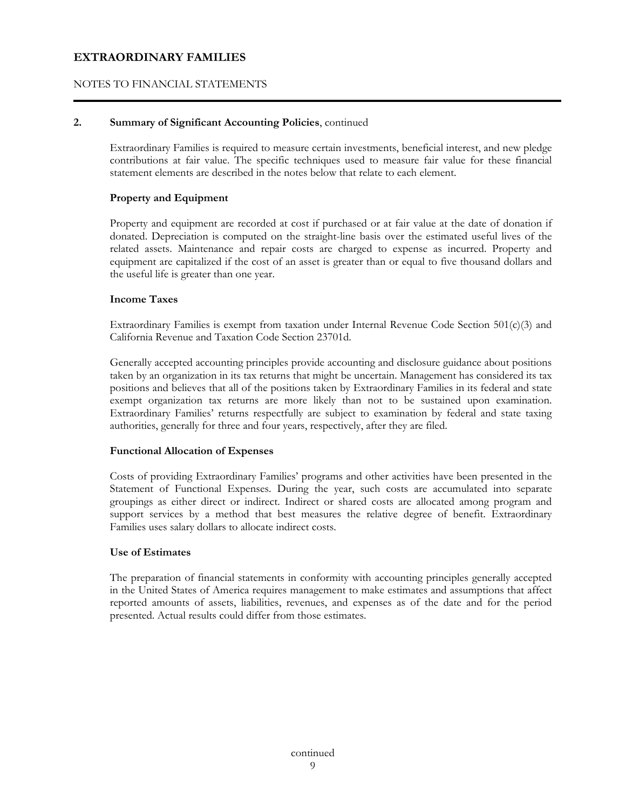# NOTES TO FINANCIAL STATEMENTS

#### **2. Summary of Significant Accounting Policies**, continued

Extraordinary Families is required to measure certain investments, beneficial interest, and new pledge contributions at fair value. The specific techniques used to measure fair value for these financial statement elements are described in the notes below that relate to each element.

 $\mathcal{L}_\text{max}$  , we have the set of  $\mathcal{L}_\text{max}$ 

# **Property and Equipment**

 Property and equipment are recorded at cost if purchased or at fair value at the date of donation if donated. Depreciation is computed on the straight-line basis over the estimated useful lives of the related assets. Maintenance and repair costs are charged to expense as incurred. Property and equipment are capitalized if the cost of an asset is greater than or equal to five thousand dollars and the useful life is greater than one year.

#### **Income Taxes**

 Extraordinary Families is exempt from taxation under Internal Revenue Code Section 501(c)(3) and California Revenue and Taxation Code Section 23701d.

 Generally accepted accounting principles provide accounting and disclosure guidance about positions taken by an organization in its tax returns that might be uncertain. Management has considered its tax positions and believes that all of the positions taken by Extraordinary Families in its federal and state exempt organization tax returns are more likely than not to be sustained upon examination. Extraordinary Families' returns respectfully are subject to examination by federal and state taxing authorities, generally for three and four years, respectively, after they are filed.

#### **Functional Allocation of Expenses**

 Costs of providing Extraordinary Families' programs and other activities have been presented in the Statement of Functional Expenses. During the year, such costs are accumulated into separate groupings as either direct or indirect. Indirect or shared costs are allocated among program and support services by a method that best measures the relative degree of benefit. Extraordinary Families uses salary dollars to allocate indirect costs.

#### **Use of Estimates**

 The preparation of financial statements in conformity with accounting principles generally accepted in the United States of America requires management to make estimates and assumptions that affect reported amounts of assets, liabilities, revenues, and expenses as of the date and for the period presented. Actual results could differ from those estimates.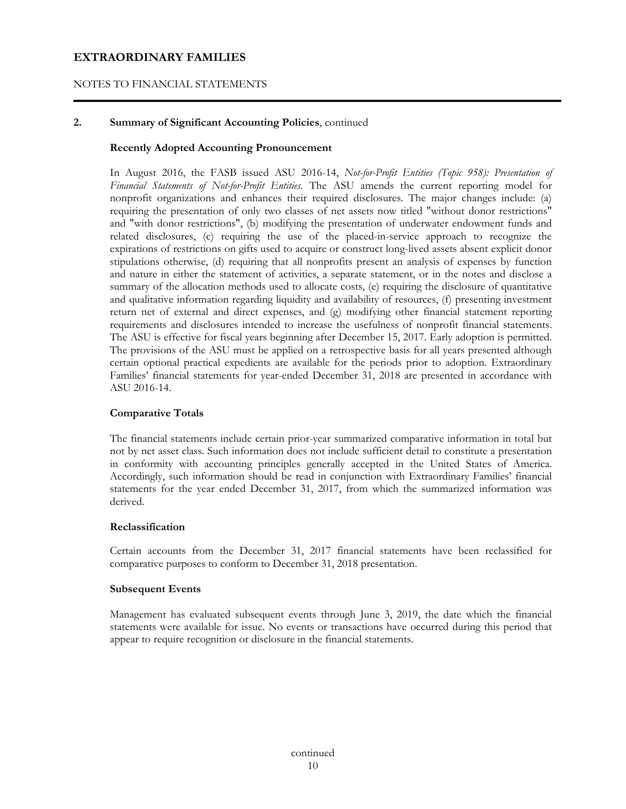# NOTES TO FINANCIAL STATEMENTS

#### **2. Summary of Significant Accounting Policies**, continued

#### **Recently Adopted Accounting Pronouncement**

 In August 2016, the FASB issued ASU 2016-14, *Not-for-Profit Entities (Topic 958): Presentation of Financial Statements of Not-for-Profit Entities*. The ASU amends the current reporting model for nonprofit organizations and enhances their required disclosures. The major changes include: (a) requiring the presentation of only two classes of net assets now titled "without donor restrictions" and "with donor restrictions", (b) modifying the presentation of underwater endowment funds and related disclosures, (c) requiring the use of the placed-in-service approach to recognize the expirations of restrictions on gifts used to acquire or construct long-lived assets absent explicit donor stipulations otherwise, (d) requiring that all nonprofits present an analysis of expenses by function and nature in either the statement of activities, a separate statement, or in the notes and disclose a summary of the allocation methods used to allocate costs, (e) requiring the disclosure of quantitative and qualitative information regarding liquidity and availability of resources, (f) presenting investment return net of external and direct expenses, and (g) modifying other financial statement reporting requirements and disclosures intended to increase the usefulness of nonprofit financial statements. The ASU is effective for fiscal years beginning after December 15, 2017. Early adoption is permitted. The provisions of the ASU must be applied on a retrospective basis for all years presented although certain optional practical expedients are available for the periods prior to adoption. Extraordinary Families' financial statements for year-ended December 31, 2018 are presented in accordance with ASU 2016-14.

 $\mathcal{L}_\text{max}$  , we have the set of  $\mathcal{L}_\text{max}$ 

#### **Comparative Totals**

 The financial statements include certain prior-year summarized comparative information in total but not by net asset class. Such information does not include sufficient detail to constitute a presentation in conformity with accounting principles generally accepted in the United States of America. Accordingly, such information should be read in conjunction with Extraordinary Families' financial statements for the year ended December 31, 2017, from which the summarized information was derived.

#### **Reclassification**

Certain accounts from the December 31, 2017 financial statements have been reclassified for comparative purposes to conform to December 31, 2018 presentation.

#### **Subsequent Events**

 Management has evaluated subsequent events through June 3, 2019, the date which the financial statements were available for issue. No events or transactions have occurred during this period that appear to require recognition or disclosure in the financial statements.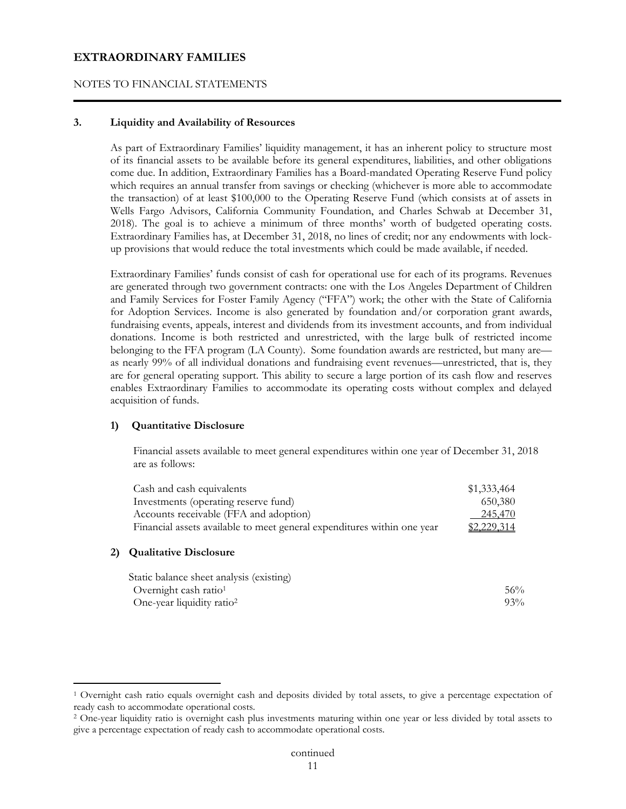#### NOTES TO FINANCIAL STATEMENTS

#### **3. Liquidity and Availability of Resources**

As part of Extraordinary Families' liquidity management, it has an inherent policy to structure most of its financial assets to be available before its general expenditures, liabilities, and other obligations come due. In addition, Extraordinary Families has a Board-mandated Operating Reserve Fund policy which requires an annual transfer from savings or checking (whichever is more able to accommodate the transaction) of at least \$100,000 to the Operating Reserve Fund (which consists at of assets in Wells Fargo Advisors, California Community Foundation, and Charles Schwab at December 31, 2018). The goal is to achieve a minimum of three months' worth of budgeted operating costs. Extraordinary Families has, at December 31, 2018, no lines of credit; nor any endowments with lockup provisions that would reduce the total investments which could be made available, if needed.

 $\mathcal{L}_\text{max}$  , we have the set of  $\mathcal{L}_\text{max}$ 

Extraordinary Families' funds consist of cash for operational use for each of its programs. Revenues are generated through two government contracts: one with the Los Angeles Department of Children and Family Services for Foster Family Agency ("FFA") work; the other with the State of California for Adoption Services. Income is also generated by foundation and/or corporation grant awards, fundraising events, appeals, interest and dividends from its investment accounts, and from individual donations. Income is both restricted and unrestricted, with the large bulk of restricted income belonging to the FFA program (LA County). Some foundation awards are restricted, but many are as nearly 99% of all individual donations and fundraising event revenues—unrestricted, that is, they are for general operating support. This ability to secure a large portion of its cash flow and reserves enables Extraordinary Families to accommodate its operating costs without complex and delayed acquisition of funds.

#### **1) Quantitative Disclosure**

Financial assets available to meet general expenditures within one year of December 31, 2018 are as follows:

| Cash and cash equivalents                                               | \$1,333,464 |
|-------------------------------------------------------------------------|-------------|
| Investments (operating reserve fund)                                    | 650,380     |
| Accounts receivable (FFA and adoption)                                  | 245,470     |
| Financial assets available to meet general expenditures within one year | \$2,229,314 |
|                                                                         |             |

#### **2) Qualitative Disclosure**

 $\overline{a}$ 

| Static balance sheet analysis (existing) |        |
|------------------------------------------|--------|
| Overnight cash ratio <sup>1</sup>        | $56\%$ |
| One-year liquidity ratio <sup>2</sup>    | $93\%$ |

<sup>&</sup>lt;sup>1</sup> Overnight cash ratio equals overnight cash and deposits divided by total assets, to give a percentage expectation of ready cash to accommodate operational costs.

<sup>2</sup> One-year liquidity ratio is overnight cash plus investments maturing within one year or less divided by total assets to give a percentage expectation of ready cash to accommodate operational costs.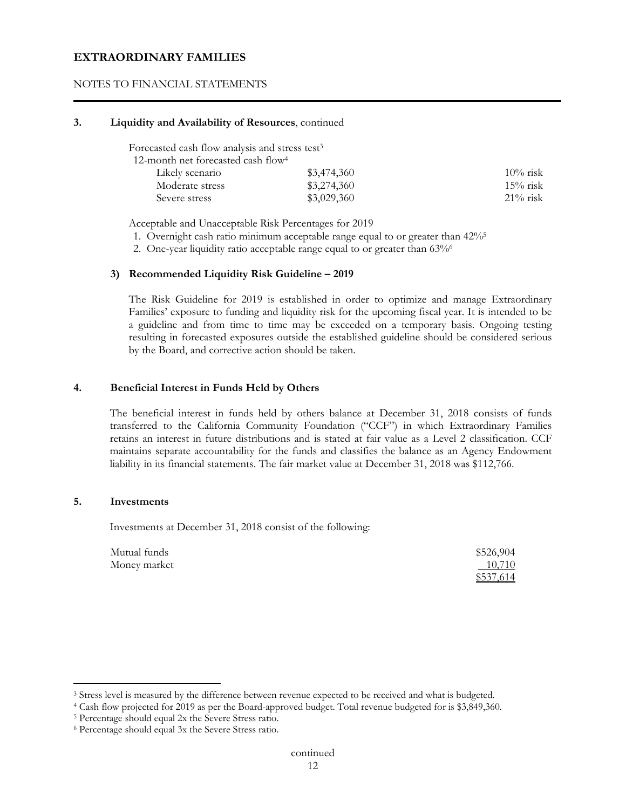#### NOTES TO FINANCIAL STATEMENTS

#### **3. Liquidity and Availability of Resources**, continued

Forecasted cash flow analysis and stress test<sup>3</sup>

12-month net forecasted cash flow4

| Likely scenario | \$3,474,360 | $10\%$ risk |
|-----------------|-------------|-------------|
| Moderate stress | \$3,274,360 | $15\%$ risk |
| Severe stress   | \$3,029,360 | $21\%$ risk |
|                 |             |             |

Acceptable and Unacceptable Risk Percentages for 2019

1. Overnight cash ratio minimum acceptable range equal to or greater than 42%5

 $\mathcal{L}_\text{max}$  , we have the set of  $\mathcal{L}_\text{max}$ 

2. One-year liquidity ratio acceptable range equal to or greater than 63%6

#### **3) Recommended Liquidity Risk Guideline – 2019**

The Risk Guideline for 2019 is established in order to optimize and manage Extraordinary Families' exposure to funding and liquidity risk for the upcoming fiscal year. It is intended to be a guideline and from time to time may be exceeded on a temporary basis. Ongoing testing resulting in forecasted exposures outside the established guideline should be considered serious by the Board, and corrective action should be taken.

## **4. Beneficial Interest in Funds Held by Others**

 The beneficial interest in funds held by others balance at December 31, 2018 consists of funds transferred to the California Community Foundation ("CCF") in which Extraordinary Families retains an interest in future distributions and is stated at fair value as a Level 2 classification. CCF maintains separate accountability for the funds and classifies the balance as an Agency Endowment liability in its financial statements. The fair market value at December 31, 2018 was \$112,766.

#### **5. Investments**

 $\overline{a}$ 

Investments at December 31, 2018 consist of the following:

| Mutual funds | \$526,904 |
|--------------|-----------|
| Money market | 10,710    |
|              | \$537,614 |

<sup>3</sup> Stress level is measured by the difference between revenue expected to be received and what is budgeted.

<sup>4</sup> Cash flow projected for 2019 as per the Board-approved budget. Total revenue budgeted for is \$3,849,360. 5 Percentage should equal 2x the Severe Stress ratio.

<sup>6</sup> Percentage should equal 3x the Severe Stress ratio.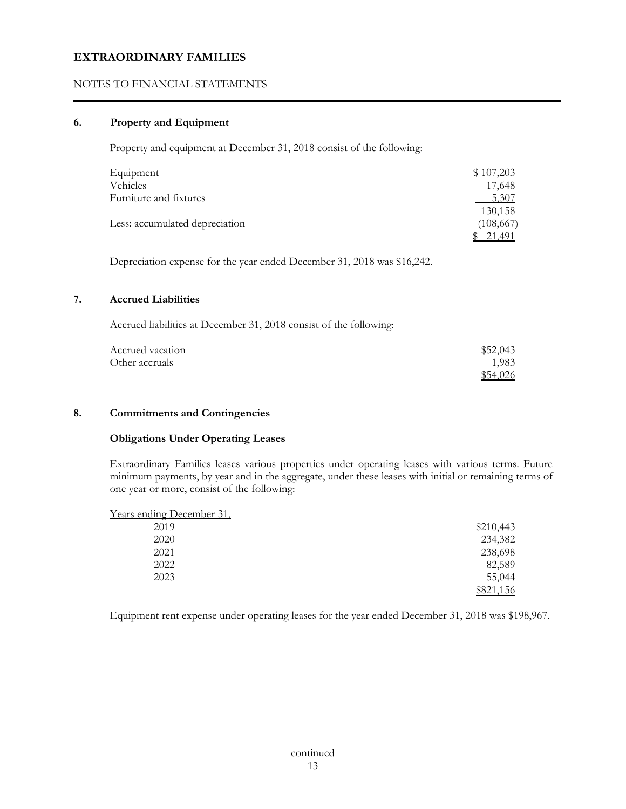# NOTES TO FINANCIAL STATEMENTS

# **6. Property and Equipment**

Property and equipment at December 31, 2018 consist of the following:

| Equipment                      | \$107,203 |
|--------------------------------|-----------|
| Vehicles                       | 17,648    |
| Furniture and fixtures         | 5,307     |
|                                | 130,158   |
| Less: accumulated depreciation | .08,667   |
|                                |           |

 $\mathcal{L}_\text{max}$  , we have the set of  $\mathcal{L}_\text{max}$ 

Depreciation expense for the year ended December 31, 2018 was \$16,242.

# **7. Accrued Liabilities**

Accrued liabilities at December 31, 2018 consist of the following:

| Accrued vacation | \$52,043 |
|------------------|----------|
| Other accruals   | 1,983    |
|                  | \$54,026 |

#### **8. Commitments and Contingencies**

## **Obligations Under Operating Leases**

 Extraordinary Families leases various properties under operating leases with various terms. Future minimum payments, by year and in the aggregate, under these leases with initial or remaining terms of one year or more, consist of the following:

Years ending December 31,

| 2019 | \$210,443 |
|------|-----------|
| 2020 | 234,382   |
| 2021 | 238,698   |
| 2022 | 82,589    |
| 2023 | 55,044    |
|      | \$821,156 |

Equipment rent expense under operating leases for the year ended December 31, 2018 was \$198,967.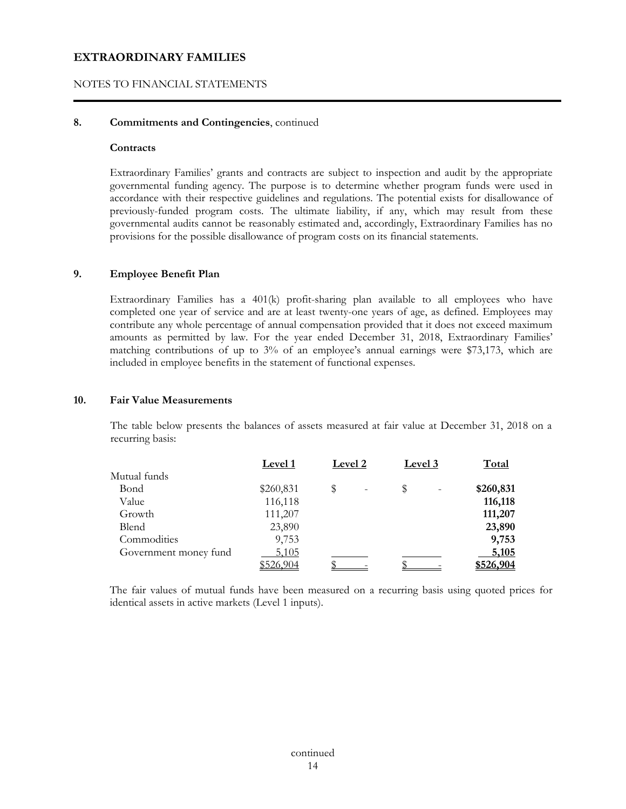#### NOTES TO FINANCIAL STATEMENTS

#### **8. Commitments and Contingencies**, continued

#### **Contracts**

 Extraordinary Families' grants and contracts are subject to inspection and audit by the appropriate governmental funding agency. The purpose is to determine whether program funds were used in accordance with their respective guidelines and regulations. The potential exists for disallowance of previously-funded program costs. The ultimate liability, if any, which may result from these governmental audits cannot be reasonably estimated and, accordingly, Extraordinary Families has no provisions for the possible disallowance of program costs on its financial statements.

 $\mathcal{L}_\text{max}$  , we have the set of  $\mathcal{L}_\text{max}$ 

#### **9. Employee Benefit Plan**

 Extraordinary Families has a 401(k) profit-sharing plan available to all employees who have completed one year of service and are at least twenty-one years of age, as defined. Employees may contribute any whole percentage of annual compensation provided that it does not exceed maximum amounts as permitted by law. For the year ended December 31, 2018, Extraordinary Families' matching contributions of up to 3% of an employee's annual earnings were \$73,173, which are included in employee benefits in the statement of functional expenses.

#### **10. Fair Value Measurements**

The table below presents the balances of assets measured at fair value at December 31, 2018 on a recurring basis:

|                       | <b>Level 1</b> | Level 2 | Level 3 | Total     |
|-----------------------|----------------|---------|---------|-----------|
| Mutual funds          |                |         |         |           |
| Bond                  | \$260,831      | \$      | \$      | \$260,831 |
| Value                 | 116,118        |         |         | 116,118   |
| Growth                | 111,207        |         |         | 111,207   |
| Blend                 | 23,890         |         |         | 23,890    |
| Commodities           | 9,753          |         |         | 9,753     |
| Government money fund | 5,105          |         |         | 5,105     |
|                       | 526.904        |         |         | \$526,904 |

The fair values of mutual funds have been measured on a recurring basis using quoted prices for identical assets in active markets (Level 1 inputs).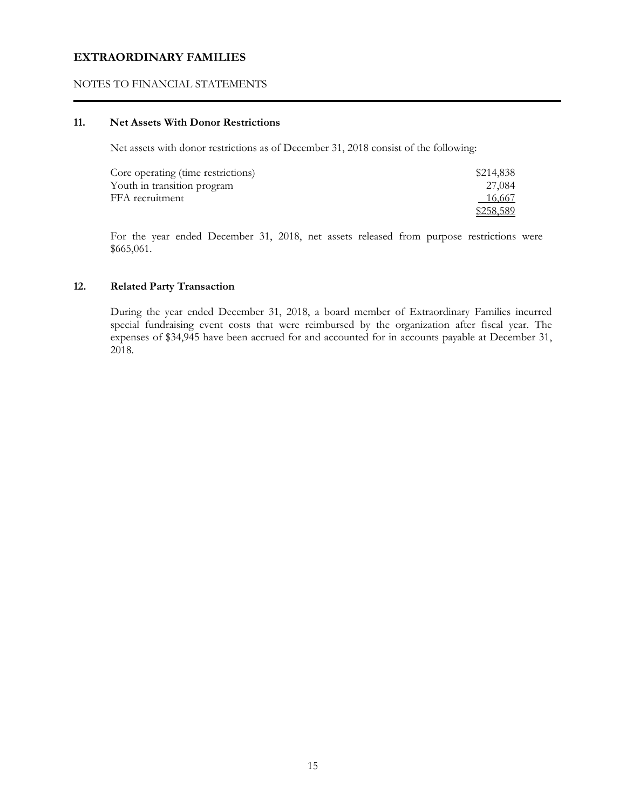# NOTES TO FINANCIAL STATEMENTS

# **11. Net Assets With Donor Restrictions**

Net assets with donor restrictions as of December 31, 2018 consist of the following:

| Core operating (time restrictions) | \$214,838 |
|------------------------------------|-----------|
| Youth in transition program        | 27,084    |
| FFA recruitment                    | 16,667    |
|                                    | \$258,589 |

 $\mathcal{L}_\text{max}$  , we have the set of  $\mathcal{L}_\text{max}$ 

 For the year ended December 31, 2018, net assets released from purpose restrictions were \$665,061.

## **12. Related Party Transaction**

During the year ended December 31, 2018, a board member of Extraordinary Families incurred special fundraising event costs that were reimbursed by the organization after fiscal year. The expenses of \$34,945 have been accrued for and accounted for in accounts payable at December 31, 2018.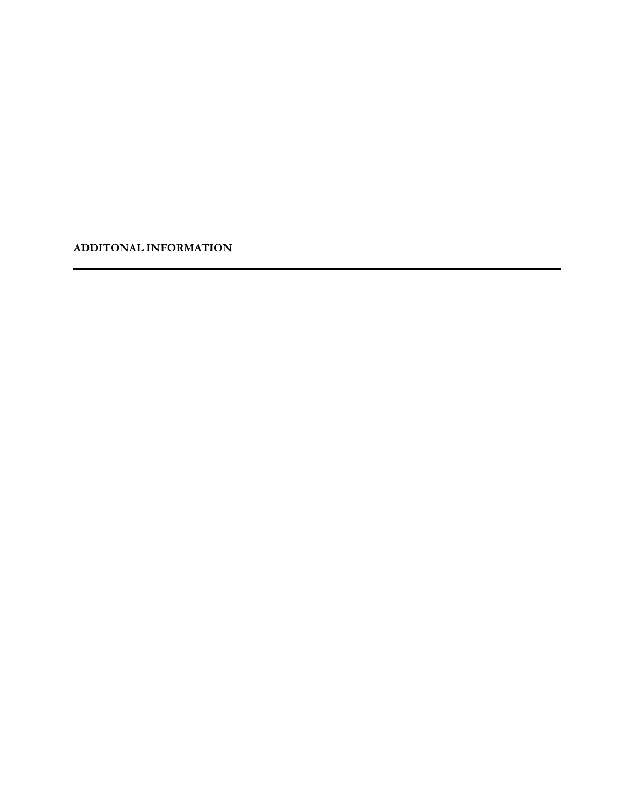**ADDITONAL INFORMATION**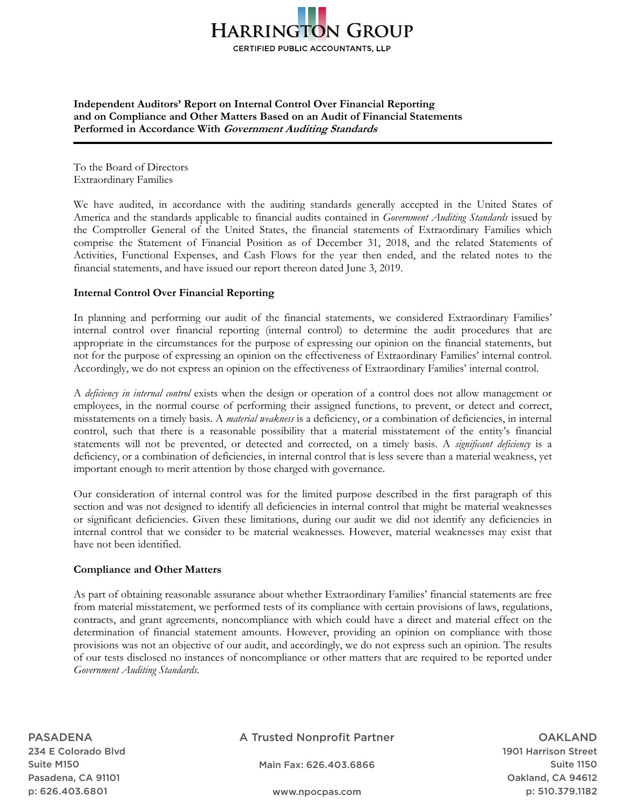

# **Independent Auditors' Report on Internal Control Over Financial Reporting and on Compliance and Other Matters Based on an Audit of Financial Statements Performed in Accordance With Government Auditing Standards**

To the Board of Directors Extraordinary Families

We have audited, in accordance with the auditing standards generally accepted in the United States of America and the standards applicable to financial audits contained in *Government Auditing Standards* issued by the Comptroller General of the United States, the financial statements of Extraordinary Families which comprise the Statement of Financial Position as of December 31, 2018, and the related Statements of Activities, Functional Expenses, and Cash Flows for the year then ended, and the related notes to the financial statements, and have issued our report thereon dated June 3, 2019.

## **Internal Control Over Financial Reporting**

In planning and performing our audit of the financial statements, we considered Extraordinary Families' internal control over financial reporting (internal control) to determine the audit procedures that are appropriate in the circumstances for the purpose of expressing our opinion on the financial statements, but not for the purpose of expressing an opinion on the effectiveness of Extraordinary Families' internal control. Accordingly, we do not express an opinion on the effectiveness of Extraordinary Families' internal control.

A *deficiency in internal control* exists when the design or operation of a control does not allow management or employees, in the normal course of performing their assigned functions, to prevent, or detect and correct, misstatements on a timely basis. A *material weakness* is a deficiency, or a combination of deficiencies, in internal control, such that there is a reasonable possibility that a material misstatement of the entity's financial statements will not be prevented, or detected and corrected, on a timely basis. A *significant deficiency* is a deficiency, or a combination of deficiencies, in internal control that is less severe than a material weakness, yet important enough to merit attention by those charged with governance.

Our consideration of internal control was for the limited purpose described in the first paragraph of this section and was not designed to identify all deficiencies in internal control that might be material weaknesses or significant deficiencies. Given these limitations, during our audit we did not identify any deficiencies in internal control that we consider to be material weaknesses. However, material weaknesses may exist that have not been identified.

#### **Compliance and Other Matters**

As part of obtaining reasonable assurance about whether Extraordinary Families' financial statements are free from material misstatement, we performed tests of its compliance with certain provisions of laws, regulations, contracts, and grant agreements, noncompliance with which could have a direct and material effect on the determination of financial statement amounts. However, providing an opinion on compliance with those provisions was not an objective of our audit, and accordingly, we do not express such an opinion. The results of our tests disclosed no instances of noncompliance or other matters that are required to be reported under *Government Auditing Standards.*

PASADENA 234 E Colorado Blvd Suite M150 Pasadena, CA 91101 p: 626.403.6801

A Trusted Nonprofit Partner

Main Fax: 626.403.6866

OAKLAND 1901 Harrison Street Suite 1150 Oakland, CA 94612 p: 510.379.1182

www.npocpas.com